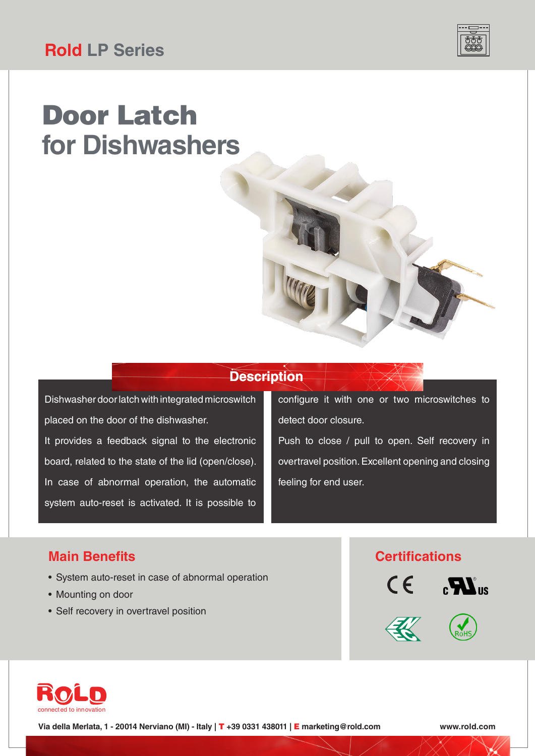# Door Latch **for Dishwashers**

### **Description**

Dishwasher door latch with integrated microswitch placed on the door of the dishwasher. It provides a feedback signal to the electronic board, related to the state of the lid (open/close). In case of abnormal operation, the automatic system auto-reset is activated. It is possible to

configure it with one or two microswitches to detect door closure.

Push to close / pull to open. Self recovery in overtravel position. Excellent opening and closing feeling for end user.

### **Main Benefits**

- System auto-reset in case of abnormal operation
- Mounting on door
- Self recovery in overtravel position

### **Certifications**







**Via della Merlata, 1 - 20014 Nerviano (MI) - Italy |** T **+39 0331 438011 |** E **marketing@rold.com www.rold.com**